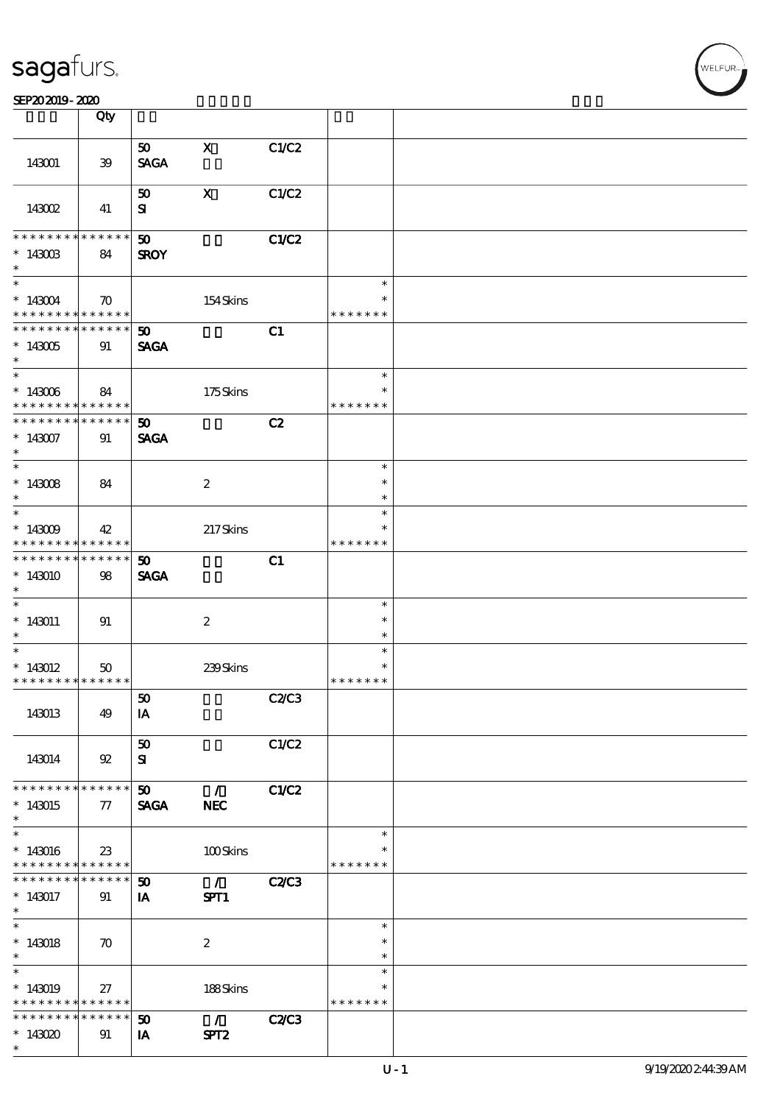#### SEP202019-2020

|                                                         | Qty                |                             |                                         |              |                         |  |
|---------------------------------------------------------|--------------------|-----------------------------|-----------------------------------------|--------------|-------------------------|--|
|                                                         |                    | 50                          | $\mathbf{x}$                            | C1/C2        |                         |  |
| 143001                                                  | $39\,$             | <b>SAGA</b>                 |                                         |              |                         |  |
|                                                         |                    | 50                          | $\mathbf x$                             | C1/C2        |                         |  |
| 143002                                                  | 41                 | ${\bf s}$                   |                                         |              |                         |  |
| * * * * * * * *                                         | $***$ * * * * *    | $\boldsymbol{\mathfrak{D}}$ |                                         | C1/C2        |                         |  |
| $*$ 143003<br>$\ast$                                    | 84                 | <b>SROY</b>                 |                                         |              |                         |  |
| $*$                                                     |                    |                             |                                         |              | $\ast$                  |  |
| $*143004$<br>* * * * * * * * <mark>* * * * * *</mark>   | $\boldsymbol{\pi}$ |                             | 154Skins                                |              | $\ast$<br>* * * * * * * |  |
| * * * * * * * * * * * * * * *                           |                    | 50 <sub>1</sub>             |                                         | C1           |                         |  |
| $*143005$<br>$*$                                        | 91                 | <b>SAGA</b>                 |                                         |              |                         |  |
| $\overline{\phantom{0}}$                                |                    |                             |                                         |              | $\ast$                  |  |
| $*143006$<br>* * * * * * * * <mark>* * * * * * *</mark> | 84                 |                             | 175Skins                                |              | * * * * * * *           |  |
| * * * * * * * * * * * * * * *                           |                    | 50 <sub>1</sub>             |                                         | C2           |                         |  |
| $*143007$<br>$\ast$                                     | 91                 | <b>SAGA</b>                 |                                         |              |                         |  |
| $\overline{\ast}$                                       |                    |                             |                                         |              | $\ast$                  |  |
| $*143008$                                               | 84                 |                             | $\boldsymbol{2}$                        |              | $\ast$                  |  |
| $\ast$<br>$\overline{\phantom{0}}$                      |                    |                             |                                         |              | $\ast$<br>$\ast$        |  |
| $*143009$                                               | 42                 |                             | 217Skins                                |              |                         |  |
| * * * * * * * * <mark>* * * * * * *</mark>              |                    |                             |                                         |              | * * * * * * *           |  |
| * * * * * * * *                                         | $* * * * * * *$    | 50 <sub>o</sub>             |                                         | C1           |                         |  |
| $*143010$<br>$\ast$                                     | 98                 | <b>SAGA</b>                 |                                         |              |                         |  |
| $\ast$                                                  |                    |                             |                                         |              | $\ast$                  |  |
| $*143011$                                               | 91                 |                             | $\boldsymbol{z}$                        |              | $\ast$                  |  |
| $\ast$                                                  |                    |                             |                                         |              | $\ast$                  |  |
| $\overline{\phantom{0}}$                                |                    |                             |                                         |              | $\ast$<br>$\ast$        |  |
| $*143012$<br>* * * * * * * * <mark>* * * * * *</mark>   | 50                 |                             | 239Skins                                |              | * * * * * * *           |  |
|                                                         |                    | ${\bf 50}$                  |                                         | C2C3         |                         |  |
| 143013                                                  | 49                 | IA                          |                                         |              |                         |  |
|                                                         |                    | $\bf{50}$                   |                                         | C1/C2        |                         |  |
| 143014                                                  | 92                 | ${\bf s}$                   |                                         |              |                         |  |
| * * * * * * * * <mark>* * * * * *</mark>                |                    | 50 <sub>o</sub>             | $\mathcal{L}$                           | C1/C2        |                         |  |
| $*143015$                                               | 77                 | <b>SAGA</b>                 | <b>NEC</b>                              |              |                         |  |
| $\ast$                                                  |                    |                             |                                         |              |                         |  |
|                                                         |                    |                             |                                         |              | $\ast$                  |  |
| $*143016$<br>* * * * * * * * <mark>* * * * * *</mark>   | 23                 |                             | 100Skins                                |              | * * * * * * *           |  |
| * * * * * * * *                                         | $******$           | 50                          | $\mathcal{L} \subset \mathcal{L}$       | <b>C2/C3</b> |                         |  |
| $*143017$                                               | 91                 | IA                          | SPT1                                    |              |                         |  |
| $\ast$                                                  |                    |                             |                                         |              |                         |  |
| $\overline{\ast}$                                       |                    |                             |                                         |              | $\ast$                  |  |
| $*143018$                                               | $\boldsymbol{\pi}$ |                             | $\boldsymbol{2}$                        |              | $\ast$                  |  |
| $\ast$                                                  |                    |                             |                                         |              | $\ast$                  |  |
| $\ast$                                                  |                    |                             |                                         |              | $\ast$<br>$\ast$        |  |
| $*143019$<br>* * * * * * * * <mark>* * * * * *</mark>   | 27                 |                             | 188Skins                                |              | * * * * * * *           |  |
| * * * * * * * *                                         | * * * * * *        | 50                          | $\mathcal{L} = \mathcal{L} \mathcal{L}$ | C2C3         |                         |  |
| $*143020$                                               | 91                 | IA                          | SPT <sub>2</sub>                        |              |                         |  |
| $\ast$                                                  |                    |                             |                                         |              |                         |  |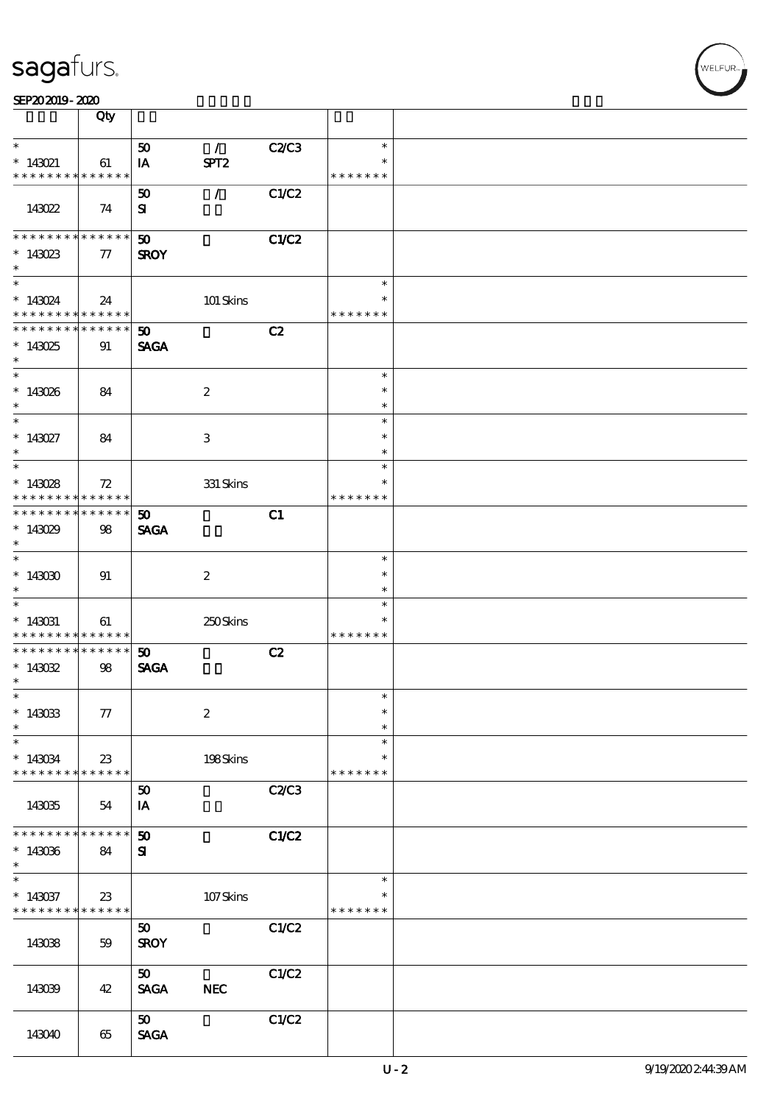|                                                                 | Qty                   |                                            |                  |       |                                   |  |
|-----------------------------------------------------------------|-----------------------|--------------------------------------------|------------------|-------|-----------------------------------|--|
| $\ast$                                                          |                       | 50                                         | $\mathcal{L}$    | C2C3  | $\ast$                            |  |
| $* 143021$<br>* * * * * * * *                                   | 61<br>* * * * * *     | IA                                         | SPT <sub>2</sub> |       | $\ast$<br>* * * * * * *           |  |
| 143022                                                          | 74                    | 50<br>${\bf s}$                            | $\mathcal{L}$    | C1/C2 |                                   |  |
| * * * * * * * *<br>$*143023$<br>$\ast$                          | $* * * * * * *$<br>77 | $\boldsymbol{\mathfrak{D}}$<br><b>SROY</b> |                  | C1/C2 |                                   |  |
| $*$<br>$* 143024$<br>* * * * * * * * <mark>* * * * * *</mark>   | 24                    |                                            | 101 Skins        |       | $\ast$<br>$\ast$<br>* * * * * * * |  |
| * * * * * * * * * * * * * * *<br>$*143025$<br>$\ast$            | 91                    | 50 <sub>2</sub><br><b>SAGA</b>             |                  | C2    |                                   |  |
| $*$<br>$*143026$<br>$\ast$                                      | 84                    |                                            | $\boldsymbol{2}$ |       | $\ast$<br>$\ast$<br>$\ast$        |  |
| $\overline{\phantom{0}}$<br>$* 143027$<br>$\ast$                | 84                    |                                            | 3                |       | $\ast$<br>$\ast$<br>$\ast$        |  |
| $\overline{\phantom{0}}$<br>$*143028$<br>* * * * * * * *        | 72<br>* * * * * *     |                                            | 331 Skins        |       | $\ast$<br>*<br>* * * * * * *      |  |
| * * * * * * * *<br>* $143029$<br>$\ast$                         | $******$<br>98        | 50<br><b>SAGA</b>                          |                  | C1    |                                   |  |
| $\overline{\ast}$<br>$*143000$<br>$\ast$                        | 91                    |                                            | $\boldsymbol{2}$ |       | $\ast$<br>$\ast$<br>$\ast$        |  |
| $\ast$<br>$* 143031$<br>* * * * * * * *                         | 61<br>$* * * * * * *$ |                                            | 250Skins         |       | $\ast$<br>$\ast$<br>* * * * * * * |  |
| * * * * * * * * <mark>*</mark><br>$*143032$<br>$\ast$           | $******$<br>98        | 50<br><b>SAGA</b>                          |                  | C2    |                                   |  |
| $\overline{\mathbf{r}}$<br>$*143033$<br>$\ast$                  | 77                    |                                            | $\boldsymbol{2}$ |       | $\ast$<br>$\ast$<br>$\ast$        |  |
| $\ast$<br>$* 143034$<br>* * * * * * * *                         | $23\,$<br>* * * * * * |                                            | 198Skins         |       | $\ast$<br>*<br>* * * * * * *      |  |
| 143035                                                          | 54                    | 50<br>IA                                   |                  | C2C3  |                                   |  |
| * * * * * * * *<br>$*143036$<br>$\ast$                          | * * * * * *  <br>84   | 50<br>$\mathbf{S}$                         |                  | C1/C2 |                                   |  |
| $\ast$<br>$*143037$<br>* * * * * * * * <mark>* * * * * *</mark> | $23\,$                |                                            | 107Skins         |       | $\ast$<br>* * * * * * *           |  |
| 143038                                                          | 59                    | 50<br><b>SROY</b>                          |                  | C1/C2 |                                   |  |
| 143039                                                          | 42                    | 50<br><b>SAGA</b>                          | <b>NEC</b>       | C1/C2 |                                   |  |
| 143040                                                          | 65                    | $\boldsymbol{\mathfrak{D}}$<br><b>SAGA</b> |                  | C1/C2 |                                   |  |

.<br>NELFUR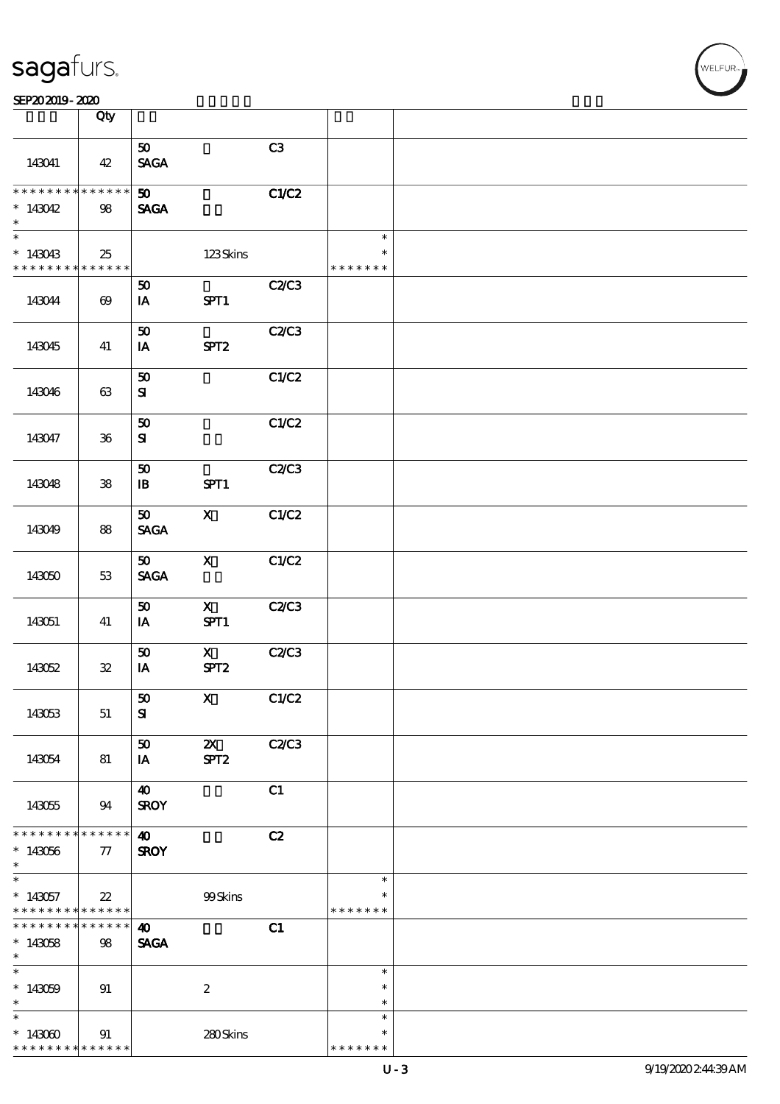| <b>saga</b> furs. |
|-------------------|
|-------------------|

#### $S$ EP20 2019 - 2020  $\overline{S}$  Obv

|                                          | Qty                   |                                |                         |       |               |  |
|------------------------------------------|-----------------------|--------------------------------|-------------------------|-------|---------------|--|
|                                          |                       |                                |                         | C3    |               |  |
| 143041                                   | 42                    | 50 <sub>1</sub><br><b>SAGA</b> |                         |       |               |  |
|                                          |                       |                                |                         |       |               |  |
| * * * * * * * * <mark>* * * * * *</mark> |                       | 50 <sub>o</sub>                |                         | C1/C2 |               |  |
| $*143042$<br>$\ast$                      | 98                    | <b>SAGA</b>                    |                         |       |               |  |
| $*$                                      |                       |                                |                         |       | $\ast$        |  |
| $*143043$                                | 25                    |                                | 123Skins                |       | $\ast$        |  |
| * * * * * * * * <mark>* * * * * *</mark> |                       |                                |                         |       | * * * * * * * |  |
|                                          |                       | 50                             |                         | C2C3  |               |  |
| 143044                                   | $\boldsymbol{\omega}$ | IA                             | SPT1                    |       |               |  |
|                                          |                       |                                |                         |       |               |  |
|                                          |                       | 50                             |                         | C2C3  |               |  |
| 143045                                   | 41                    | IA                             | SPT <sub>2</sub>        |       |               |  |
|                                          |                       |                                |                         |       |               |  |
|                                          |                       | $\pmb{\mathfrak{D}}$           |                         | C1/C2 |               |  |
| 143046                                   | 63                    | ${\bf s}$                      |                         |       |               |  |
|                                          |                       |                                |                         |       |               |  |
|                                          |                       | ${\bf 50}$                     |                         | C1/C2 |               |  |
| 143047                                   | ${\bf 36}$            | ${\bf s}$                      |                         |       |               |  |
|                                          |                       |                                |                         |       |               |  |
|                                          |                       | ${\bf 50}$                     |                         | C2C3  |               |  |
| 143048                                   | ${\bf 38}$            | $\mathbf{B}$                   | SPT1                    |       |               |  |
|                                          |                       |                                |                         |       |               |  |
|                                          |                       | $\boldsymbol{\mathfrak{D}}$    | $\mathbf{x}$            | C1/C2 |               |  |
| 143049                                   | 88                    | $\operatorname{\mathsf{SAGA}}$ |                         |       |               |  |
|                                          |                       |                                |                         |       |               |  |
|                                          |                       | 50 <sub>1</sub>                | $\mathbf{x}$            | C1/C2 |               |  |
|                                          |                       |                                |                         |       |               |  |
| 143050                                   | 53                    | <b>SAGA</b>                    |                         |       |               |  |
|                                          |                       |                                |                         |       |               |  |
|                                          |                       | 50                             | $\mathbf{X}$            | C2C3  |               |  |
| 143051                                   | 41                    | IA                             | SPT1                    |       |               |  |
|                                          |                       |                                |                         |       |               |  |
|                                          |                       | 50                             | $\mathbf{X}$            | C2C3  |               |  |
| 143052                                   | $\mathfrak{B}$        | IA                             | SPT <sub>2</sub>        |       |               |  |
|                                          |                       |                                |                         |       |               |  |
|                                          |                       | $\vert$ 50                     | $\overline{\mathbf{X}}$ | C1/C2 |               |  |
| 143053                                   | 51                    | ${\bf s}$                      |                         |       |               |  |
|                                          |                       |                                |                         |       |               |  |
|                                          |                       | 50                             | $\boldsymbol{\alpha}$   | C2C3  |               |  |
| 143054                                   | 81                    | IA                             | SPT <sub>2</sub>        |       |               |  |
|                                          |                       |                                |                         |       |               |  |
|                                          |                       | $\boldsymbol{\omega}$          |                         | C1    |               |  |
| 143055                                   | 94                    | <b>SROY</b>                    |                         |       |               |  |
|                                          |                       |                                |                         |       |               |  |
| * * * * * * * *                          | ******                | $\boldsymbol{\omega}$          |                         | C2    |               |  |
| $*143056$                                | 77                    | <b>SROY</b>                    |                         |       |               |  |
| $\ast$                                   |                       |                                |                         |       |               |  |
| $\ast$                                   |                       |                                |                         |       | $\ast$        |  |
| $*143057$                                | $22\,$                |                                | 99Skins                 |       | $\ast$        |  |
| * * * * * * * *                          | * * * * * *           |                                |                         |       | * * * * * * * |  |
| * * * * * * *                            | * * * * * *           | $\boldsymbol{\omega}$          |                         | C1    |               |  |
| $*143058$                                | 98                    | <b>SAGA</b>                    |                         |       |               |  |
| $\ast$                                   |                       |                                |                         |       |               |  |
| $\ast$                                   |                       |                                |                         |       | $\ast$        |  |
| $*143059$                                |                       |                                |                         |       | $\ast$        |  |
| $\ast$                                   | 91                    |                                | $\boldsymbol{2}$        |       | $\ast$        |  |
| $\ast$                                   |                       |                                |                         |       | $\ast$        |  |
|                                          |                       |                                |                         |       | $\ast$        |  |
| $*143000$                                | 91                    |                                | 280Skins                |       |               |  |
| * * * * * * * *                          | * * * * * *           |                                |                         |       | * * * * * * * |  |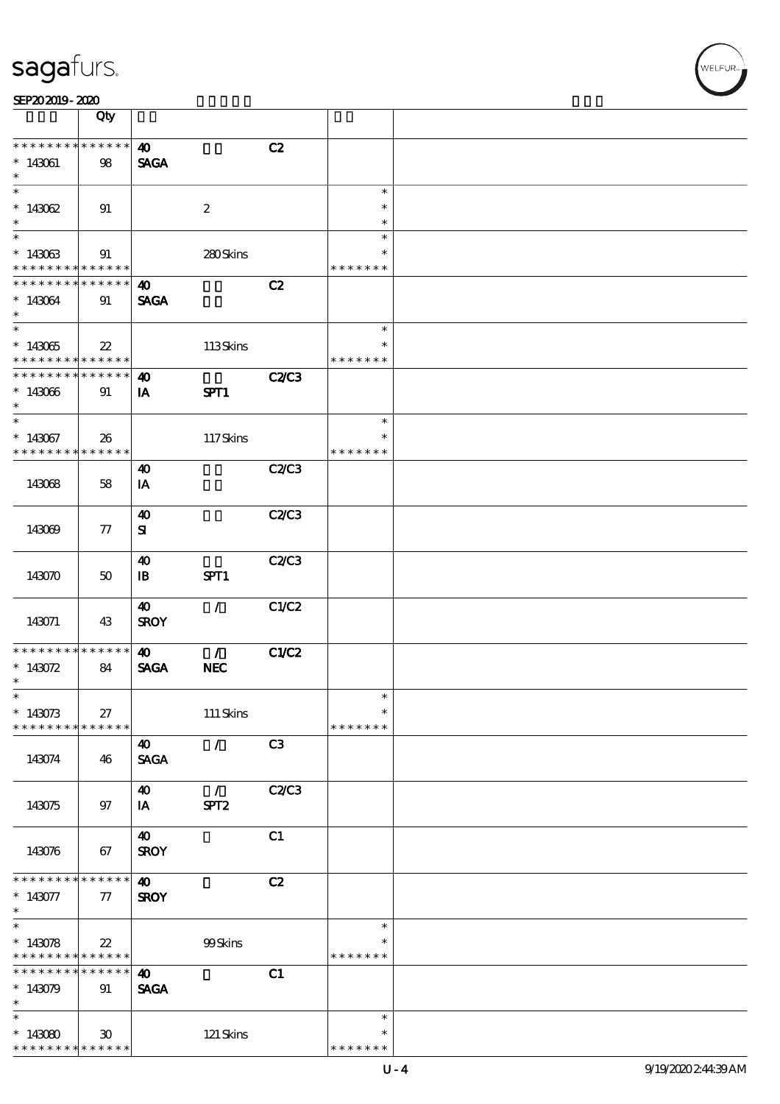| SEP202019-2020 |  |  |
|----------------|--|--|
|----------------|--|--|

|                                                   | Qty                                       |                                       |                                   |              |                                   |  |
|---------------------------------------------------|-------------------------------------------|---------------------------------------|-----------------------------------|--------------|-----------------------------------|--|
| * * * * * * * *<br>$* 143061$<br>$\ast$           | * * * * * *<br>98                         | $\boldsymbol{\omega}$<br><b>SAGA</b>  |                                   | C2           |                                   |  |
| $\overline{\ast}$<br>$*143062$<br>$\ast$          | 91                                        |                                       | $\boldsymbol{2}$                  |              | $\ast$<br>$\ast$<br>$\ast$        |  |
| $\overline{\ast}$<br>$*143063$<br>* * * * * * * * | 91<br>* * * * * *                         |                                       | 280Skins                          |              | $\ast$<br>$\ast$<br>* * * * * * * |  |
| * * * * * * *<br>$*143064$<br>$\ast$              | * * * * * *<br>91                         | $\boldsymbol{\omega}$<br><b>SAGA</b>  |                                   | C2           |                                   |  |
| $\overline{\ast}$<br>$*143065$<br>* * * * * * * * | $\boldsymbol{\mathcal{Z}}$<br>* * * * * * |                                       | 113Skins                          |              | $\ast$<br>$\ast$<br>* * * * * * * |  |
| * * * * * * * *<br>$*143066$<br>$\ast$            | * * * * * *<br>91                         | $\boldsymbol{\omega}$<br>IA           | SPT1                              | <b>C2/C3</b> |                                   |  |
| $\ast$<br>$*143067$<br>* * * * * * * *            | 26<br>******                              |                                       | 117Skins                          |              | $\ast$<br>$\ast$<br>* * * * * * * |  |
| 143068                                            | 58                                        | $\boldsymbol{\omega}$<br>IA           |                                   | C2C3         |                                   |  |
| 143069                                            | 77                                        | $\boldsymbol{\omega}$<br>${\bf s}$    |                                   | C2C3         |                                   |  |
| 143070                                            | 50                                        | $\boldsymbol{\omega}$<br>$\mathbf{B}$ | SPT1                              | <b>C2/C3</b> |                                   |  |
| 143071                                            | 43                                        | $\boldsymbol{\omega}$<br><b>SROY</b>  | $\mathcal{L}$                     | C1/C2        |                                   |  |
| * * * * * * *<br>$* 143072$<br>$\ast$             | * * * * * *<br>84                         | $\boldsymbol{\omega}$<br><b>SAGA</b>  | $\mathcal{T}$<br>NEC              | C1/C2        |                                   |  |
| $\ast$<br>$*143073$<br>* * * * * * * *            | 27<br>$* * * * * * *$                     |                                       | $111$ Skins                       |              | $\ast$<br>$\ast$<br>* * * * * * * |  |
| 143074                                            | 46                                        | $\boldsymbol{\omega}$<br><b>SAGA</b>  | $\mathcal{L}$                     | C3           |                                   |  |
| 143075                                            | 97                                        | $\boldsymbol{\omega}$<br>IA           | $\mathcal{L}$<br>SPT <sub>2</sub> | <b>C2/C3</b> |                                   |  |
| 143076                                            | 67                                        | $\boldsymbol{40}$<br><b>SROY</b>      |                                   | C1           |                                   |  |
| * * * * * * * *<br>$* 143077$<br>$*$              | * * * * * *<br>77                         | $\boldsymbol{\omega}$<br><b>SROY</b>  |                                   | C2           |                                   |  |
| $*$<br>$*143078$<br>* * * * * * * *               | $22\,$<br>* * * * * *                     |                                       | 99Skins                           |              | $\ast$<br>* * * * * * *           |  |
| * * * * * * *<br>$\ast$<br>$*143079$<br>$\ast$    | $* * * * * * *$<br>91                     | $\boldsymbol{\omega}$<br><b>SAGA</b>  |                                   | C1           |                                   |  |
| $\ast$<br>$*143080$<br>* * * * * * * *            | $30^{\circ}$<br>* * * * * *               |                                       | $121$ Skins                       |              | $\ast$<br>∗<br>* * * * * * *      |  |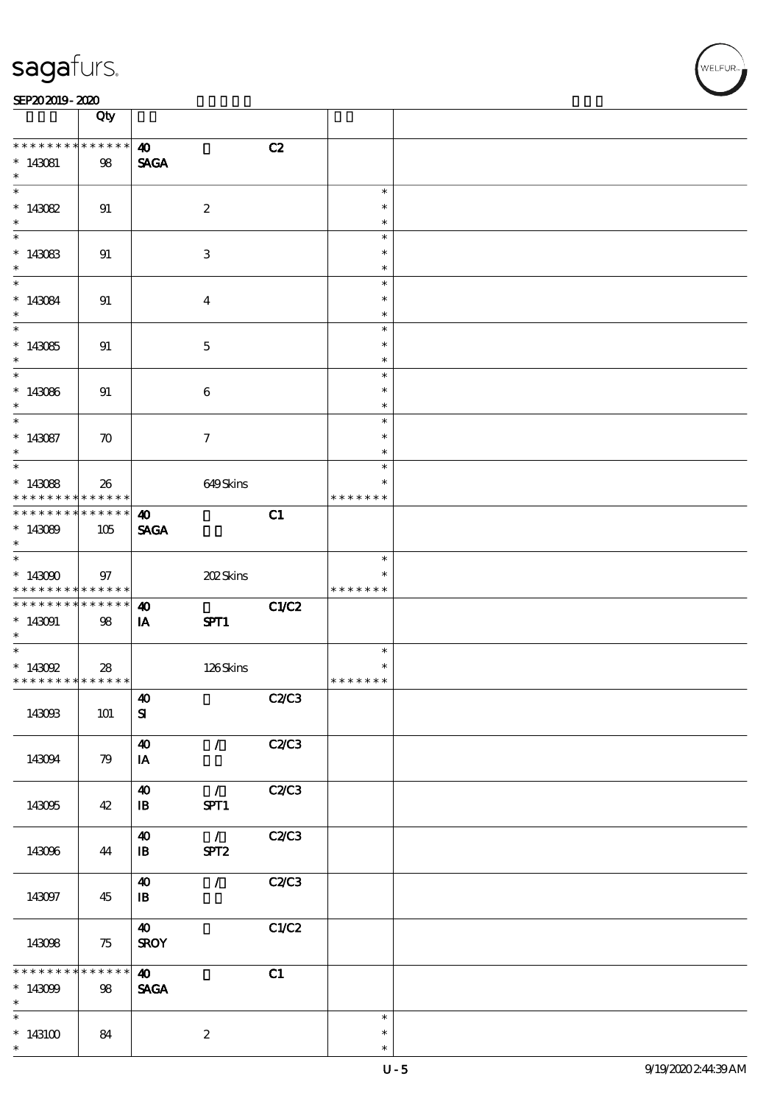#### $\frac{\text{SEP202019 - 2020}}{\text{S}}$

|                                                                            | Qty                   |                                                                        |       |                                   |  |
|----------------------------------------------------------------------------|-----------------------|------------------------------------------------------------------------|-------|-----------------------------------|--|
| * * * * * * * *<br>$* 143081$<br>$\ast$                                    | $* * * * * * *$<br>98 | $\boldsymbol{\omega}$<br><b>SAGA</b>                                   | C2    |                                   |  |
| $\overline{\phantom{0}}$<br>$*143082$<br>$\ast$                            | 91                    | $\boldsymbol{2}$                                                       |       | $\ast$<br>$\ast$<br>$\ast$        |  |
| $*143083$<br>$\ast$                                                        | 91                    | 3                                                                      |       | $\ast$<br>$\ast$<br>$\ast$        |  |
| $*143084$<br>$\ast$                                                        | 91                    | $\overline{\mathbf{4}}$                                                |       | $\ast$<br>$\ast$<br>$\ast$        |  |
| $\overline{\phantom{0}}$<br>$*143085$<br>$*$                               | 91                    | $\mathbf{5}$                                                           |       | $\ast$<br>$\ast$<br>$\ast$        |  |
| $\overline{\phantom{0}}$<br>$*143086$<br>$\ast$                            | 91                    | $\boldsymbol{6}$                                                       |       | $\ast$<br>$\ast$<br>$\ast$        |  |
| $\ast$<br>$*143087$<br>$\ast$                                              | $\boldsymbol{\pi}$    | $\tau$                                                                 |       | $\ast$<br>$\ast$<br>$\ast$        |  |
| $*143088$<br>* * * * * * * *                                               | 26<br>* * * * * * *   | 649Skins                                                               |       | $\ast$<br>$\ast$<br>* * * * * * * |  |
| * * * * * * * *<br>$*143089$<br>$\ast$                                     | $******$<br>105       | $\boldsymbol{\omega}$<br><b>SAGA</b>                                   | C1    |                                   |  |
| $\overline{\ast}$<br>$*143000$<br>* * * * * * * * <mark>* * * * * *</mark> | 97                    | 202Skins                                                               |       | $\ast$<br>$\ast$<br>* * * * * * * |  |
| * * * * * * * * * * * * * * *<br>$*143091$<br>$\ast$                       | 98                    | 40<br>IA<br>SPT1                                                       | C1/C2 |                                   |  |
| $* 143092$<br>* * * * * * * * <mark>* * * * * * *</mark>                   | 28                    | 126Skins                                                               |       | $\ast$<br>$\ast$<br>* * * * * * * |  |
| 143093                                                                     | 101                   | $\boldsymbol{\omega}$<br>${\bf s}$                                     | C2C3  |                                   |  |
| 143094                                                                     | 79                    | $\boldsymbol{\omega}$<br>$\mathcal{L}$<br>IA                           | C2C3  |                                   |  |
| 143095                                                                     | 42                    | $\boldsymbol{\omega}$<br>$\mathcal{L}$<br>SPT1<br>$\mathbf{B}$         | C2/C3 |                                   |  |
| 143096                                                                     | 44                    | $\mathcal{L}$<br>$\boldsymbol{40}$<br>SPT <sub>2</sub><br>$\mathbf{B}$ | C2/C3 |                                   |  |
| 143097                                                                     | 45                    | $\mathcal{T}$<br>$\boldsymbol{\omega}$<br>$\mathbf{B}$                 | C2C3  |                                   |  |
| 143098                                                                     | 75                    | $\boldsymbol{\omega}$<br><b>SROY</b>                                   | C1/C2 |                                   |  |
| * * * * * * *<br>$*143099$<br>$\ast$                                       | $* * * * * * *$<br>98 | $\boldsymbol{\omega}$<br><b>SAGA</b>                                   | C1    |                                   |  |
| $\overline{\ast}$<br>$*143100$<br>$\ast$                                   | 84                    | $\boldsymbol{z}$                                                       |       | $\ast$<br>$\ast$<br>$\ast$        |  |

 $\overline{\mathsf{T}}$ 

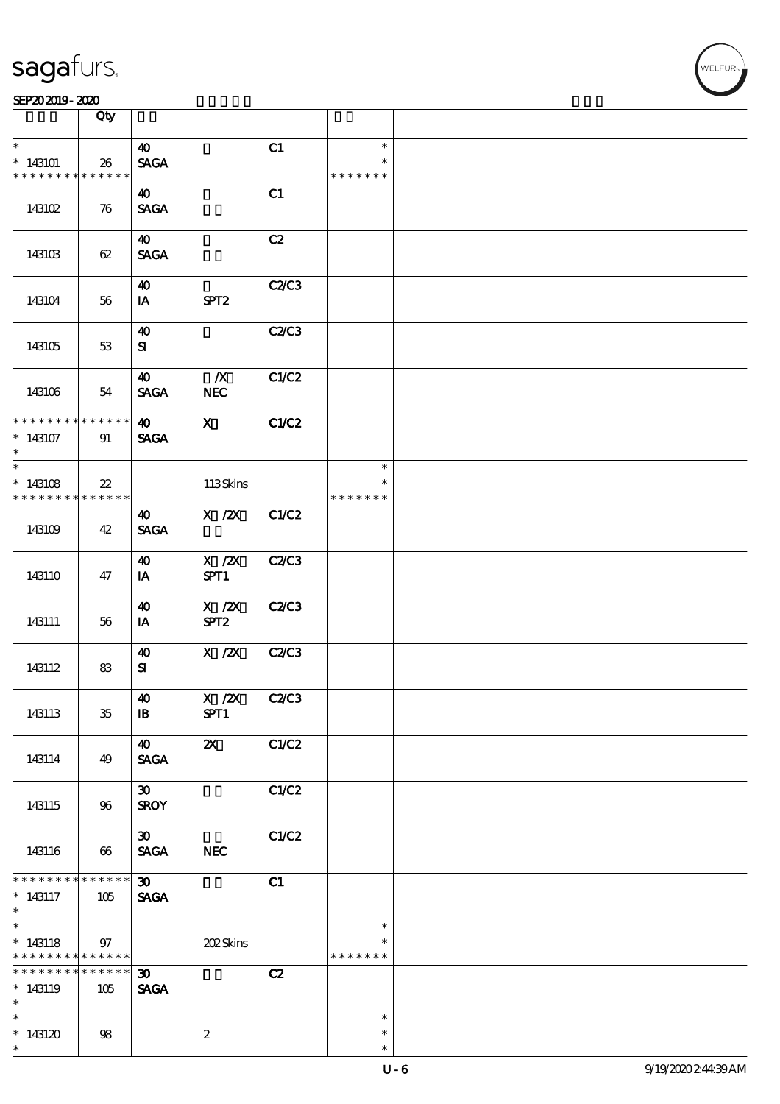|                                                                              | Qty                    |                                            |                                |       |                                   |  |
|------------------------------------------------------------------------------|------------------------|--------------------------------------------|--------------------------------|-------|-----------------------------------|--|
| $\ast$                                                                       |                        | $\boldsymbol{\omega}$                      |                                | C1    | $\ast$                            |  |
| $*143101$<br>* * * * * * * *                                                 | 26<br>* * * * * *      | <b>SAGA</b>                                |                                |       | $\ast$<br>* * * * * * *           |  |
| 143102                                                                       | 76                     | 40<br><b>SAGA</b>                          |                                | C1    |                                   |  |
| 143103                                                                       | 62                     | 40<br><b>SAGA</b>                          |                                | C2    |                                   |  |
| 143104                                                                       | 56                     | $\boldsymbol{\omega}$<br>IA                | SPT <sub>2</sub>               | C2/C3 |                                   |  |
| 143105                                                                       | 53                     | 40<br>${\bf s}$                            |                                | C2/C3 |                                   |  |
| 143106                                                                       | 54                     | $\boldsymbol{\omega}$<br><b>SAGA</b>       | $\boldsymbol{X}$<br><b>NEC</b> | C1/C2 |                                   |  |
| * * * * * * * *<br>$*143107$<br>$\ast$                                       | * * * * * *<br>91      | 40<br><b>SAGA</b>                          | $\mathbf{x}$                   | C1/C2 |                                   |  |
| $\overline{\ast}$<br>$*143108$<br>* * * * * * * *                            | $22\,$<br>* * * * * *  |                                            | 113Skins                       |       | $\ast$<br>$\ast$<br>* * * * * * * |  |
| 143109                                                                       | 42                     | 40<br><b>SAGA</b>                          | $X$ / $ZX$                     | C1/C2 |                                   |  |
| 143110                                                                       | 47                     | $\boldsymbol{\omega}$<br>IA                | $X \, /ZX$<br>SPT1             | C2/C3 |                                   |  |
| 143111                                                                       | 56                     | 40<br>IA                                   | X / ZX<br>SPT <sub>2</sub>     | C2C3  |                                   |  |
| 143112                                                                       | 83                     | $\boldsymbol{\omega}$<br>${\bf s}$         | $X$ / $ZX$                     | C2C3  |                                   |  |
| 143113                                                                       | $35\,$                 | $\boldsymbol{\omega}$<br>$\mathbf{B}$      | X /2X C2/C3<br>SPT1            |       |                                   |  |
| 143114                                                                       | 49                     | $\boldsymbol{40}$<br><b>SAGA</b>           | $\boldsymbol{\alpha}$          | C1/C2 |                                   |  |
| 143115                                                                       | 96                     | $\boldsymbol{\mathfrak{D}}$<br><b>SROY</b> |                                | C1/C2 |                                   |  |
| 143116                                                                       | 66                     | $\boldsymbol{\mathfrak{D}}$<br><b>SAGA</b> | <b>NEC</b>                     | C1/C2 |                                   |  |
| * * * * * * * *<br>$* 143117$<br>$\ast$                                      | * * * * * *<br>105     | $\infty$<br><b>SAGA</b>                    |                                | C1    |                                   |  |
| $\overline{\ast}$<br>$*143118$<br>* * * * * * * * <mark>* * * * * * *</mark> | 97                     |                                            | 202Skins                       |       | $\ast$<br>* * * * * * *           |  |
| * * * * * * * *<br>$*143119$<br>$\ast$                                       | $* * * * * * *$<br>105 | $\infty$<br><b>SAGA</b>                    |                                | C2    |                                   |  |
| * $143120$<br>$\ast$                                                         | 98                     |                                            | $\boldsymbol{z}$               |       | $\ast$<br>$\ast$<br>$\ast$        |  |

 $\overline{\mathsf{T}}$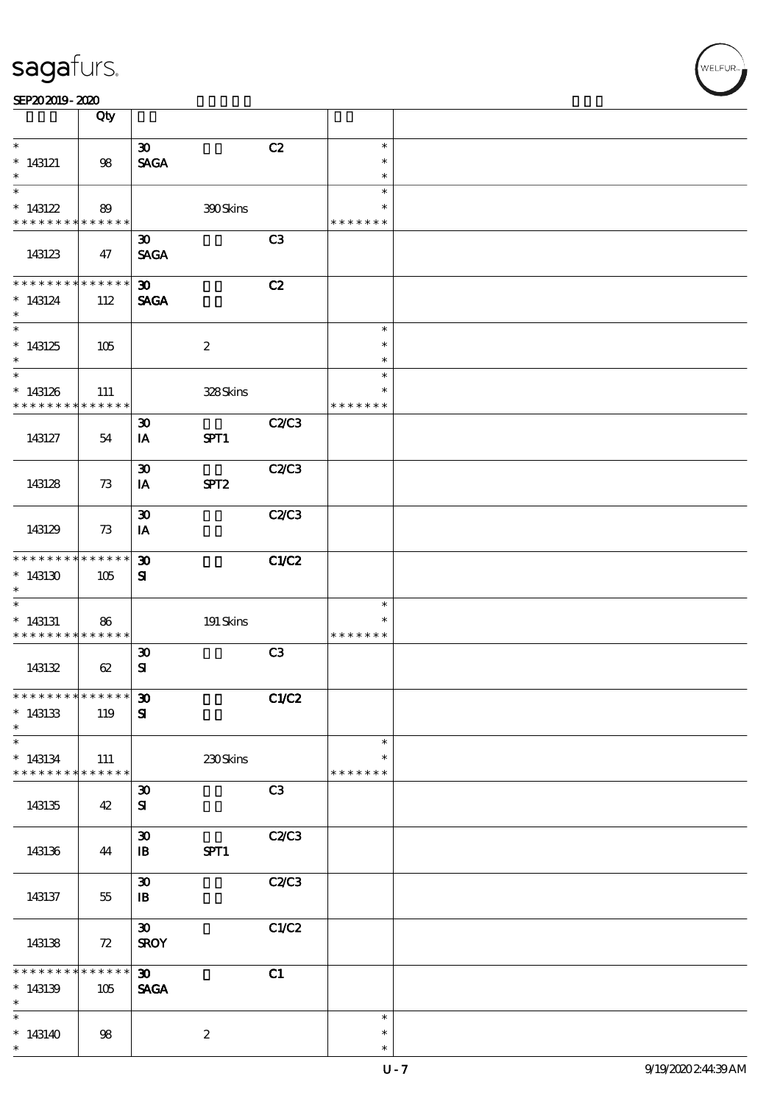|                                                         | Qty         |                                            |                  |              |                         |  |
|---------------------------------------------------------|-------------|--------------------------------------------|------------------|--------------|-------------------------|--|
| $\ast$                                                  |             |                                            |                  |              | $\ast$                  |  |
| $*$ 143121                                              | 98          | $\boldsymbol{\mathfrak{D}}$<br><b>SAGA</b> |                  | C2           | $\ast$                  |  |
| $\ast$                                                  |             |                                            |                  |              | $\ast$                  |  |
| $\ast$                                                  |             |                                            |                  |              | $\ast$                  |  |
| $*143122$<br>* * * * * * * * <mark>* * * * * *</mark> * | 89          |                                            | 300Skins         |              | $\ast$<br>* * * * * * * |  |
|                                                         |             | $\boldsymbol{\mathfrak{D}}$                |                  | C3           |                         |  |
| 143123                                                  | 47          | <b>SAGA</b>                                |                  |              |                         |  |
| * * * * * * * *                                         | * * * * * * | $\boldsymbol{\mathfrak{D}}$                |                  | C2           |                         |  |
| $*143124$                                               | 112         | <b>SAGA</b>                                |                  |              |                         |  |
| $\ast$                                                  |             |                                            |                  |              |                         |  |
| $\ast$                                                  |             |                                            |                  |              | $\ast$<br>$\ast$        |  |
| $*143125$<br>$\ast$                                     | 105         |                                            | $\boldsymbol{2}$ |              | $\ast$                  |  |
| $\overline{\ast}$                                       |             |                                            |                  |              | $\ast$                  |  |
| $*143126$                                               | 111         |                                            | 328Skins         |              | $\ast$                  |  |
| * * * * * * * * * * * * * *                             |             |                                            |                  |              | * * * * * * *           |  |
| 143127                                                  | 54          | $\boldsymbol{\mathfrak{D}}$<br>IA          | SPT1             | <b>C2/C3</b> |                         |  |
|                                                         |             |                                            |                  |              |                         |  |
|                                                         |             | $\boldsymbol{\mathfrak{D}}$                |                  | <b>C2/C3</b> |                         |  |
| 143128                                                  | 73          | IA                                         | SPT <sub>2</sub> |              |                         |  |
|                                                         |             | $\boldsymbol{\mathfrak{D}}$                |                  | <b>C2/C3</b> |                         |  |
| 143129                                                  | 73          | IA                                         |                  |              |                         |  |
|                                                         |             |                                            |                  |              |                         |  |
| * * * * * * * * * * * * * *                             |             | $\boldsymbol{\mathfrak{D}}$                |                  | C1/C2        |                         |  |
| $*143130$<br>$\ast$                                     | 105         | ${\bf s}$                                  |                  |              |                         |  |
| $\ast$                                                  |             |                                            |                  |              | $\ast$                  |  |
| $*143131$                                               | 86          |                                            | $191$ Skins      |              | $\ast$                  |  |
| * * * * * * * * * * * * * *                             |             | $\boldsymbol{\mathfrak{D}}$                |                  | C3           | * * * * * * *           |  |
| 143132                                                  | 62          | ${\bf s}$                                  |                  |              |                         |  |
|                                                         |             |                                            |                  |              |                         |  |
| *************** 30                                      |             |                                            |                  | C1/C2        |                         |  |
| $*143133$<br>$\ast$                                     | 119         | ${\bf s}$                                  |                  |              |                         |  |
| $\overline{\phantom{0}}$                                |             |                                            |                  |              | $\ast$                  |  |
| $*143134$                                               | 111         |                                            | 230Skins         |              | $\ast$                  |  |
| * * * * * * * * * * * * * *                             |             |                                            |                  |              | * * * * * * *           |  |
| 143135                                                  | 42          | $\boldsymbol{\mathfrak{D}}$<br>${\bf s}$   |                  | C3           |                         |  |
|                                                         |             |                                            |                  |              |                         |  |
|                                                         |             | $\boldsymbol{\mathfrak{D}}$                |                  | C2C3         |                         |  |
| 143136                                                  | 44          | $\mathbf{B}$                               | SPT1             |              |                         |  |
|                                                         |             | $\boldsymbol{\mathfrak{D}}$                |                  | C2/C3        |                         |  |
| 143137                                                  | 55          | $\mathbf{B}$                               |                  |              |                         |  |
|                                                         |             |                                            |                  |              |                         |  |
| 143138                                                  | 72          | $\boldsymbol{\mathfrak{D}}$<br><b>SROY</b> |                  | C1/C2        |                         |  |
|                                                         |             |                                            |                  |              |                         |  |
| * * * * * * * *                                         | * * * * * * | $\boldsymbol{\mathfrak{D}}$                |                  | C1           |                         |  |
| $*143139$<br>$\ast$                                     | 105         | <b>SAGA</b>                                |                  |              |                         |  |
| $\overline{\phantom{a}}$                                |             |                                            |                  |              | $\ast$                  |  |
| $*143140$                                               | 98          |                                            | $\boldsymbol{2}$ |              | $\ast$                  |  |
| $\ast$                                                  |             |                                            |                  |              | $\ast$                  |  |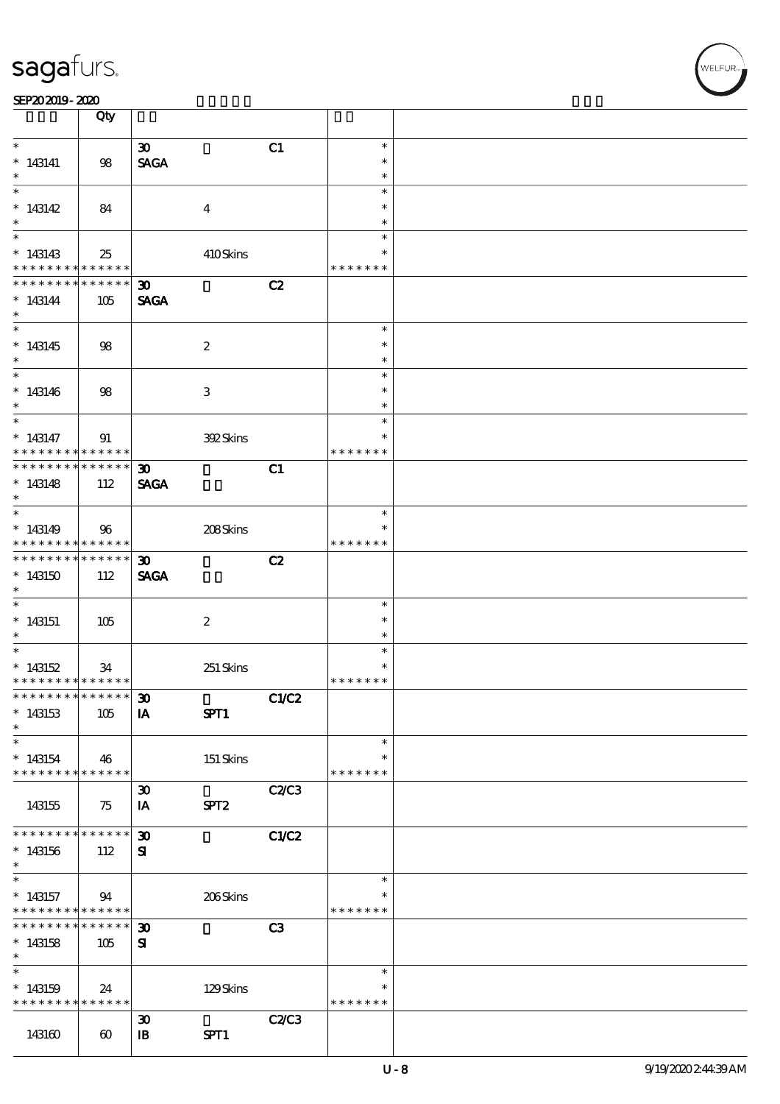#### SEP202019-2020

|                                                          | Qty                   |                             |                  |       |                         |  |
|----------------------------------------------------------|-----------------------|-----------------------------|------------------|-------|-------------------------|--|
| $\ast$                                                   |                       | $\boldsymbol{\mathfrak{D}}$ |                  | C1    | $\ast$                  |  |
| $*143141$                                                | 98                    | <b>SAGA</b>                 |                  |       | $\ast$                  |  |
| $\ast$                                                   |                       |                             |                  |       | $\ast$                  |  |
|                                                          |                       |                             |                  |       | $\ast$                  |  |
| $*143142$                                                | 84                    |                             | $\overline{4}$   |       | $\ast$                  |  |
| $\ast$                                                   |                       |                             |                  |       | $\ast$<br>$\ast$        |  |
| $*143143$                                                | 25                    |                             | 410Skins         |       | $\ast$                  |  |
| * * * * * * * * <mark>* * * * * * *</mark>               |                       |                             |                  |       | * * * * * * *           |  |
| * * * * * * * * * * * * * * <mark>*</mark>               |                       | $\boldsymbol{\mathfrak{D}}$ |                  | C2    |                         |  |
| $*143144$                                                | 105                   | <b>SAGA</b>                 |                  |       |                         |  |
| $\ast$                                                   |                       |                             |                  |       | $\ast$                  |  |
| $*143145$                                                |                       |                             |                  |       | $\ast$                  |  |
| $*$                                                      | 98                    |                             | $\boldsymbol{2}$ |       | $\ast$                  |  |
|                                                          |                       |                             |                  |       | $\ast$                  |  |
| $*143146$                                                | 98                    |                             | 3                |       | $\ast$                  |  |
| $\ast$                                                   |                       |                             |                  |       | $\ast$                  |  |
| $*$                                                      |                       |                             |                  |       | $\ast$                  |  |
| $* 143147$<br>* * * * * * * * <mark>* * * * * * *</mark> | 91                    |                             | 392Skins         |       | $\ast$<br>* * * * * * * |  |
| * * * * * * * * * * * * * * *                            |                       | $\boldsymbol{\mathfrak{D}}$ |                  | C1    |                         |  |
| $*143148$                                                | 112                   | <b>SAGA</b>                 |                  |       |                         |  |
| $\ast$                                                   |                       |                             |                  |       |                         |  |
|                                                          |                       |                             |                  |       | $\ast$                  |  |
| $*143149$<br>* * * * * * * * <mark>* * * * * *</mark> *  | 96                    |                             | 208Skins         |       | * * * * * * *           |  |
| * * * * * * * * * * * * * * *                            |                       | $\boldsymbol{\mathfrak{D}}$ |                  | C2    |                         |  |
| $*143150$                                                | 112                   | <b>SAGA</b>                 |                  |       |                         |  |
| $\ast$                                                   |                       |                             |                  |       |                         |  |
| $\overline{\ast}$                                        |                       |                             |                  |       | $\ast$                  |  |
| $*143151$                                                | 105                   |                             | $\boldsymbol{2}$ |       | $\ast$                  |  |
| $\ast$                                                   |                       |                             |                  |       | $\ast$<br>$\ast$        |  |
| $*143152$                                                | 34                    |                             | 251 Skins        |       | $\ast$                  |  |
| * * * * * * * * <mark>* * * * * * *</mark>               |                       |                             |                  |       | * * * * * * *           |  |
| ************** 30                                        |                       |                             |                  | C1/C2 |                         |  |
| $*143153$                                                | 105                   | IA                          | SPT1             |       |                         |  |
| $\ast$                                                   |                       |                             |                  |       |                         |  |
| $\ast$                                                   |                       |                             |                  |       | $\ast$<br>$\ast$        |  |
| $*143154$<br>* * * * * * * * * * * * * * <mark>*</mark>  | 46                    |                             | $151$ Skins      |       | * * * * * * *           |  |
|                                                          |                       | $\boldsymbol{\mathfrak{D}}$ |                  | C2C3  |                         |  |
| 143155                                                   | 75                    | IA                          | SPT <sub>2</sub> |       |                         |  |
|                                                          |                       |                             |                  |       |                         |  |
| * * * * * * * *                                          | * * * * * *           | $\boldsymbol{\mathfrak{D}}$ |                  | C1/C2 |                         |  |
| $*143156$<br>$\ast$                                      | 112                   | ${\bf s}$                   |                  |       |                         |  |
| $\ast$                                                   |                       |                             |                  |       | $\ast$                  |  |
| $*143157$                                                | 94                    |                             | 206Skins         |       | $\ast$                  |  |
| * * * * * * * * <mark>* * * * * *</mark>                 |                       |                             |                  |       | * * * * * * *           |  |
| * * * * * * * *                                          | ******                | $\boldsymbol{\mathfrak{D}}$ |                  | C3    |                         |  |
| $*143158$<br>$\ast$                                      | 105                   | ${\bf s}$                   |                  |       |                         |  |
| $\ast$                                                   |                       |                             |                  |       | $\ast$                  |  |
| $*143159$                                                | 24                    |                             | 129Skins         |       |                         |  |
| * * * * * * * * * * * * * * *                            |                       |                             |                  |       | * * * * * * *           |  |
|                                                          |                       | $\boldsymbol{\mathfrak{D}}$ |                  | C2C3  |                         |  |
| 143160                                                   | $\boldsymbol{\omega}$ | $\mathbf{B}$                | SPT1             |       |                         |  |

┱

VELFUR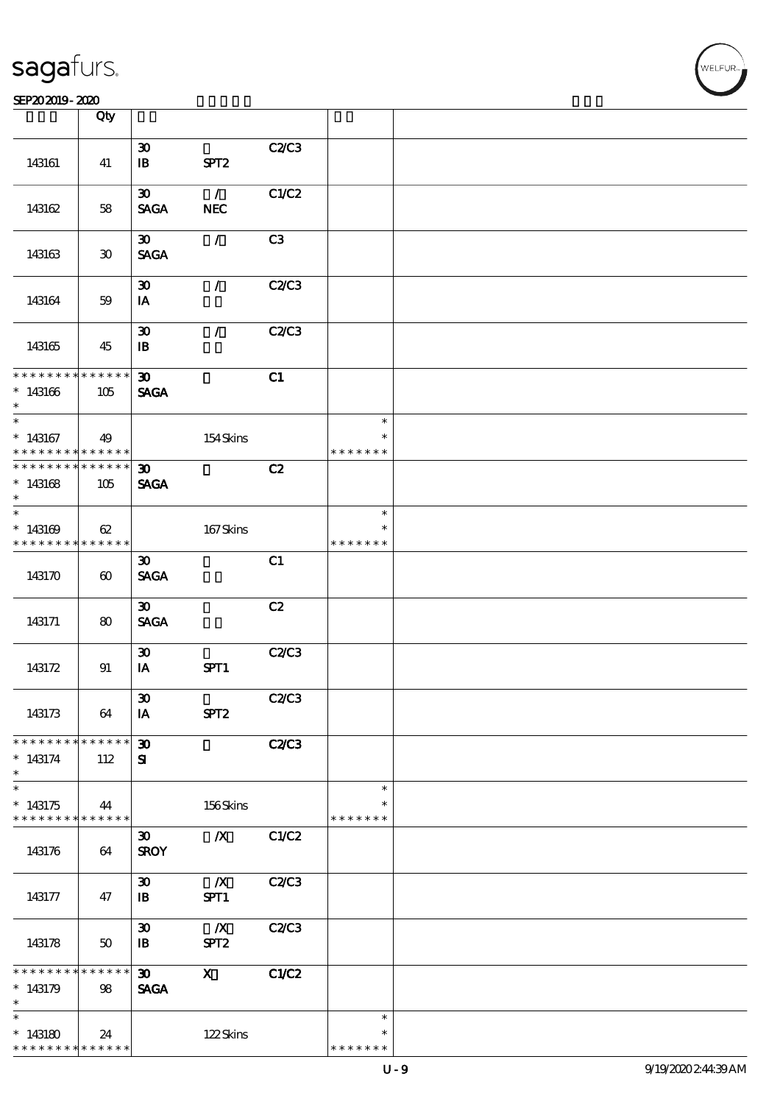|                                                       | Qty                   |                             |                  |              |                         |  |
|-------------------------------------------------------|-----------------------|-----------------------------|------------------|--------------|-------------------------|--|
|                                                       |                       | $\boldsymbol{\mathfrak{D}}$ |                  | C2/C3        |                         |  |
| 143161                                                | 41                    | $\mathbf{B}$                | SPT <sub>2</sub> |              |                         |  |
|                                                       |                       | $\boldsymbol{\mathfrak{D}}$ | $\mathcal{L}$    | C1/C2        |                         |  |
| 143162                                                | 58                    | <b>SAGA</b>                 | <b>NEC</b>       |              |                         |  |
|                                                       |                       | $\boldsymbol{\mathfrak{D}}$ | $\mathcal{L}$    | C3           |                         |  |
| 143163                                                | 30                    | <b>SAGA</b>                 |                  |              |                         |  |
|                                                       |                       | $\boldsymbol{\mathfrak{D}}$ | $\mathcal{L}$    | C2/C3        |                         |  |
| 143164                                                | 59                    | IA                          |                  |              |                         |  |
|                                                       |                       | $\boldsymbol{\mathfrak{D}}$ | $\mathcal{L}$    | C2/C3        |                         |  |
| 143165                                                | 45                    | $\mathbf{B}$                |                  |              |                         |  |
| * * * * * * * * <mark>* * * * * * *</mark>            |                       | $\boldsymbol{\mathfrak{D}}$ |                  | C1           |                         |  |
| $*143166$<br>$\ast$                                   | 105                   | <b>SAGA</b>                 |                  |              |                         |  |
| $\overline{\ast}$                                     |                       |                             |                  |              | $\ast$                  |  |
| $*143167$<br>* * * * * * * *                          | 49<br>$***$ * * * * * |                             | 154Skins         |              | $\ast$<br>* * * * * * * |  |
| * * * * * * * * <mark>* * * * * * *</mark>            |                       | $\boldsymbol{\mathfrak{D}}$ |                  | C2           |                         |  |
| $*143168$<br>$\ast$                                   | 105                   | <b>SAGA</b>                 |                  |              |                         |  |
|                                                       |                       |                             |                  |              | $\ast$                  |  |
| $*143169$<br>* * * * * * * * <mark>* * * * * *</mark> | 62                    |                             | 167Skins         |              | * * * * * * *           |  |
|                                                       |                       | $\boldsymbol{\mathfrak{D}}$ |                  | C1           |                         |  |
| 143170                                                | $\boldsymbol{\omega}$ | <b>SAGA</b>                 |                  |              |                         |  |
|                                                       |                       | $\boldsymbol{\mathfrak{D}}$ |                  | C2           |                         |  |
| 143171                                                | 80                    | <b>SAGA</b>                 |                  |              |                         |  |
|                                                       |                       | $\boldsymbol{\mathfrak{D}}$ |                  | C2C3         |                         |  |
| 143172                                                | 91                    | IA                          | SPT1             |              |                         |  |
|                                                       |                       | $\pmb{\mathfrak{D}}$        |                  | C2C3         |                         |  |
| 143173                                                | 64                    | IA                          | SPT <sub>2</sub> |              |                         |  |
| * * * * * * * *                                       | * * * * * *           | $\boldsymbol{\mathfrak{D}}$ |                  | <b>C2/C3</b> |                         |  |
| $*143174$<br>$\ast$                                   | 112                   | ${\bf s}$                   |                  |              |                         |  |
| $\overline{\ast}$                                     |                       |                             |                  |              | $\ast$                  |  |
| $*143175$<br>* * * * * * * * <mark>* * * * * *</mark> | 44                    |                             | 156Skins         |              | * * * * * * *           |  |
|                                                       |                       | $\boldsymbol{\mathfrak{D}}$ | $\boldsymbol{X}$ | C1/C2        |                         |  |
| 143176                                                | 64                    | <b>SROY</b>                 |                  |              |                         |  |
|                                                       |                       | $\boldsymbol{\mathfrak{D}}$ | $\mathbf{X}$     | C2C3         |                         |  |
| 143177                                                | 47                    | $\mathbf{B}$                | SPT1             |              |                         |  |
|                                                       |                       | $\boldsymbol{\mathfrak{D}}$ | $\mathbf{X}$     | C2C3         |                         |  |
| 143178                                                | 50                    | $\mathbf{B}$                | SPT <sub>2</sub> |              |                         |  |
| * * * * * * * *                                       | * * * * * * *         | $\boldsymbol{\mathfrak{D}}$ | $\mathbf{x}$     | C1/C2        |                         |  |
| $*143179$                                             | 98                    | <b>SAGA</b>                 |                  |              |                         |  |
| $\ast$                                                |                       |                             |                  |              |                         |  |
|                                                       |                       |                             |                  |              | $\ast$                  |  |
| $*143180$<br>* * * * * * * *                          | 24<br>$* * * * * * *$ |                             | 122Skins         |              | $\ast$<br>* * * * * * * |  |
|                                                       |                       |                             |                  |              |                         |  |

 $\overline{\mathsf{T}}$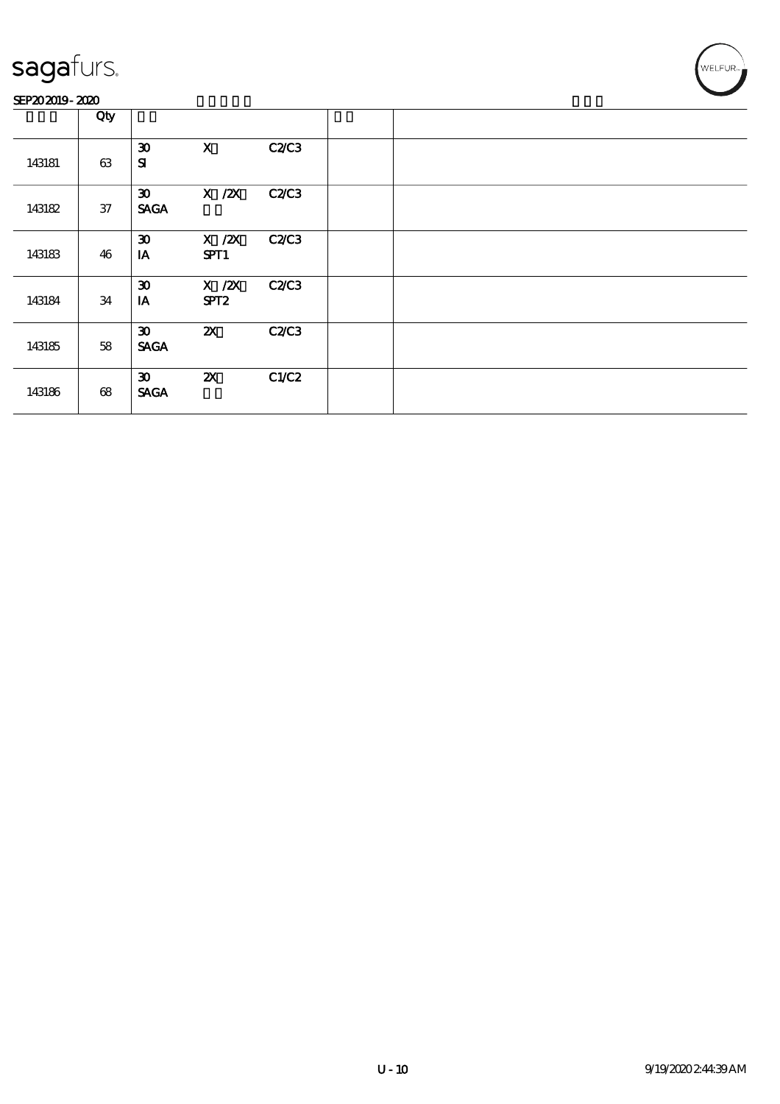#### SEP202019-2020

|        | Qty |                                            |                                |              |  |
|--------|-----|--------------------------------------------|--------------------------------|--------------|--|
| 143181 | 63  | $\boldsymbol{\mathfrak{D}}$<br>${\bf s}$   | $\mathbf{x}$                   | <b>C2/C3</b> |  |
| 143182 | 37  | $\boldsymbol{\mathfrak{D}}$<br><b>SAGA</b> | $X$ / $ZX$                     | <b>C2/C3</b> |  |
| 143183 | 46  | $\boldsymbol{\mathfrak{D}}$<br>IA          | $X$ / $ZX$<br>SPT1             | C2C3         |  |
| 143184 | 34  | $\boldsymbol{\mathfrak{D}}$<br>IA          | $X$ / $ZX$<br>SPT <sub>2</sub> | <b>C2/C3</b> |  |
| 143185 | 58  | $\boldsymbol{\mathfrak{D}}$<br><b>SAGA</b> | $\boldsymbol{\mathsf{z}}$      | <b>C2/C3</b> |  |
| 143186 | 68  | $\boldsymbol{\mathfrak{D}}$<br><b>SAGA</b> | $\boldsymbol{\mathsf{X}}$      | C1/C2        |  |

WELFUR<sub>™</sub>